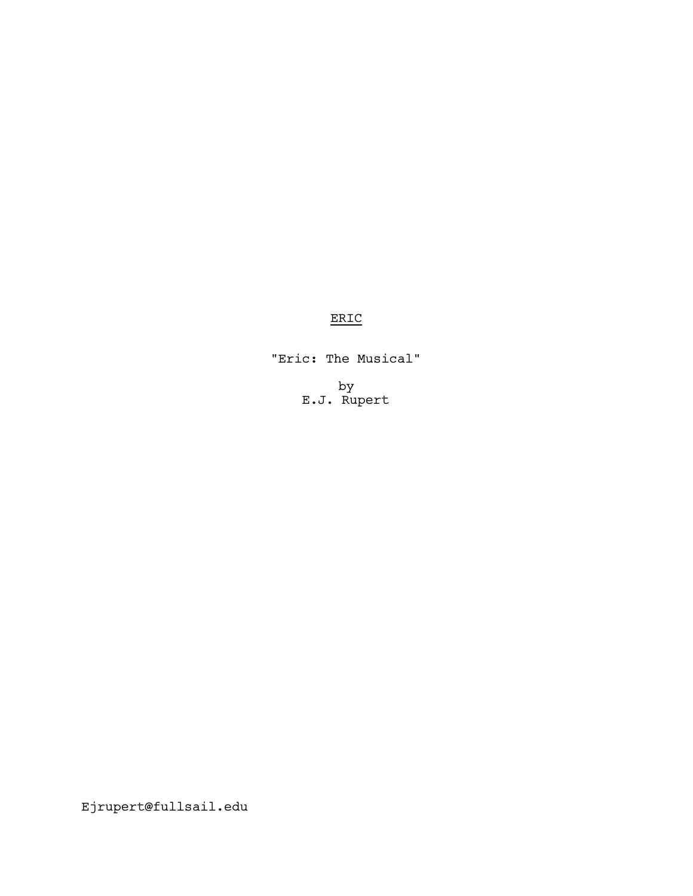# ERIC

"Eric: The Musical"

by E.J. Rupert

Ejrupert@fullsail.edu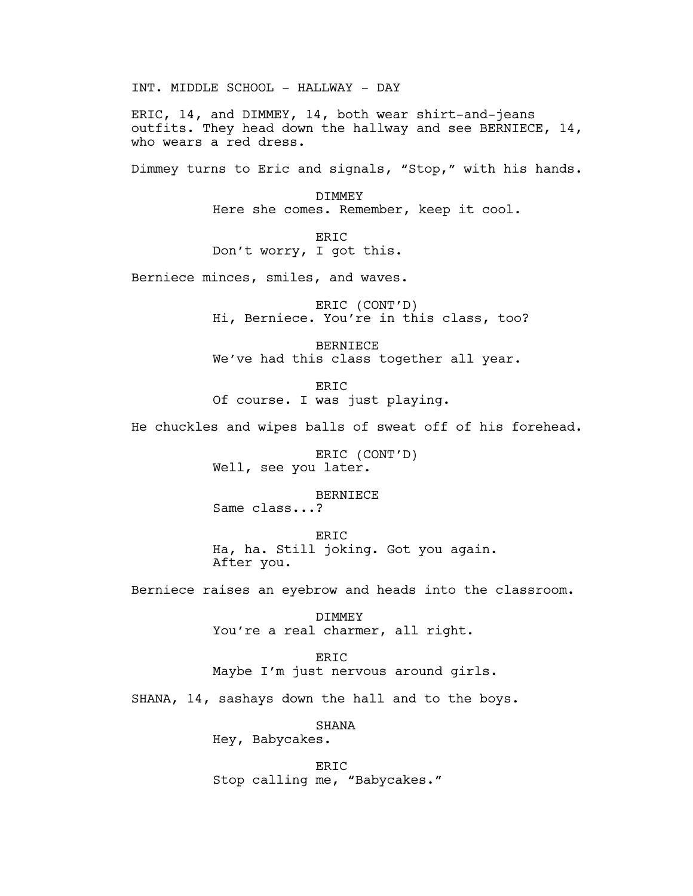INT. MIDDLE SCHOOL - HALLWAY - DAY

ERIC, 14, and DIMMEY, 14, both wear shirt-and-jeans outfits. They head down the hallway and see BERNIECE, 14, who wears a red dress.

Dimmey turns to Eric and signals, "Stop," with his hands.

DIMMEY Here she comes. Remember, keep it cool.

ERIC Don't worry, I got this.

Berniece minces, smiles, and waves.

ERIC (CONT'D) Hi, Berniece. You're in this class, too?

BERNIECE We've had this class together all year.

**ERTC** Of course. I was just playing.

He chuckles and wipes balls of sweat off of his forehead.

ERIC (CONT'D) Well, see you later.

BERNIECE Same class...?

**ERTC** Ha, ha. Still joking. Got you again. After you.

Berniece raises an eyebrow and heads into the classroom.

DIMMEY You're a real charmer, all right.

ERIC Maybe I'm just nervous around girls.

SHANA, 14, sashays down the hall and to the boys.

SHANA

Hey, Babycakes.

ERIC Stop calling me, "Babycakes."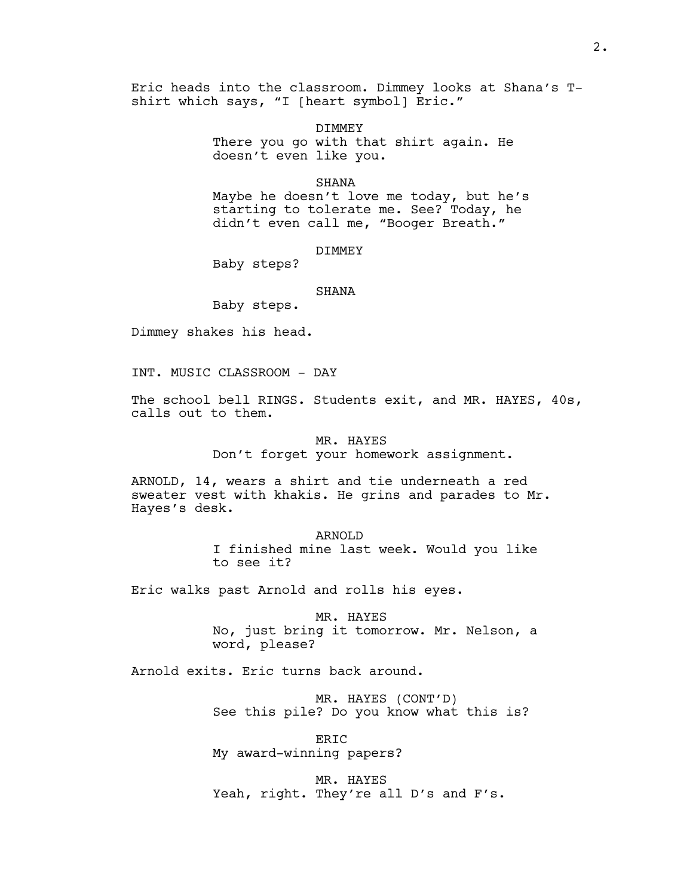Eric heads into the classroom. Dimmey looks at Shana's Tshirt which says, "I [heart symbol] Eric."

> DIMMEY There you go with that shirt again. He doesn't even like you.

#### SHANA

Maybe he doesn't love me today, but he's starting to tolerate me. See? Today, he didn't even call me, "Booger Breath."

DIMMEY

Baby steps?

## **SHANA**

Baby steps.

Dimmey shakes his head.

INT. MUSIC CLASSROOM - DAY

The school bell RINGS. Students exit, and MR. HAYES, 40s, calls out to them.

### MR. HAYES

Don't forget your homework assignment.

ARNOLD, 14, wears a shirt and tie underneath a red sweater vest with khakis. He grins and parades to Mr. Hayes's desk.

> ARNOLD I finished mine last week. Would you like to see it?

Eric walks past Arnold and rolls his eyes.

MR. HAYES No, just bring it tomorrow. Mr. Nelson, a word, please?

Arnold exits. Eric turns back around.

MR. HAYES (CONT'D) See this pile? Do you know what this is?

ERIC My award-winning papers?

MR. HAYES Yeah, right. They're all D's and F's.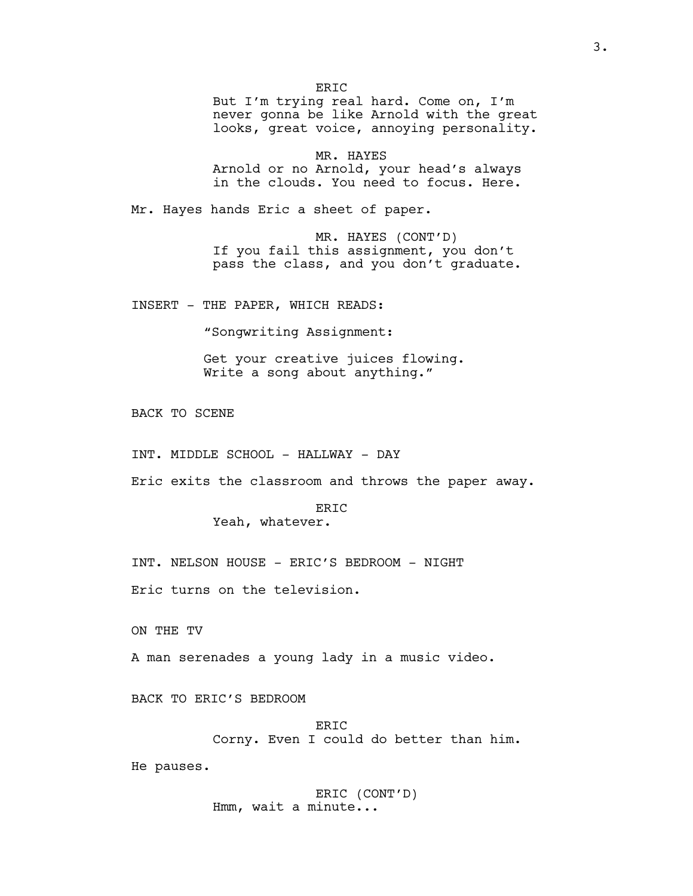**ERTC** But I'm trying real hard. Come on, I'm never gonna be like Arnold with the great looks, great voice, annoying personality.

MR. HAYES Arnold or no Arnold, your head's always in the clouds. You need to focus. Here.

Mr. Hayes hands Eric a sheet of paper.

MR. HAYES (CONT'D) If you fail this assignment, you don't pass the class, and you don't graduate.

INSERT - THE PAPER, WHICH READS:

"Songwriting Assignment:

Get your creative juices flowing. Write a song about anything."

BACK TO SCENE

INT. MIDDLE SCHOOL - HALLWAY - DAY

Eric exits the classroom and throws the paper away.

**ERTC** Yeah, whatever.

INT. NELSON HOUSE - ERIC'S BEDROOM - NIGHT

Eric turns on the television.

ON THE TV

A man serenades a young lady in a music video.

BACK TO ERIC'S BEDROOM

ERIC Corny. Even I could do better than him.

He pauses.

ERIC (CONT'D) Hmm, wait a minute...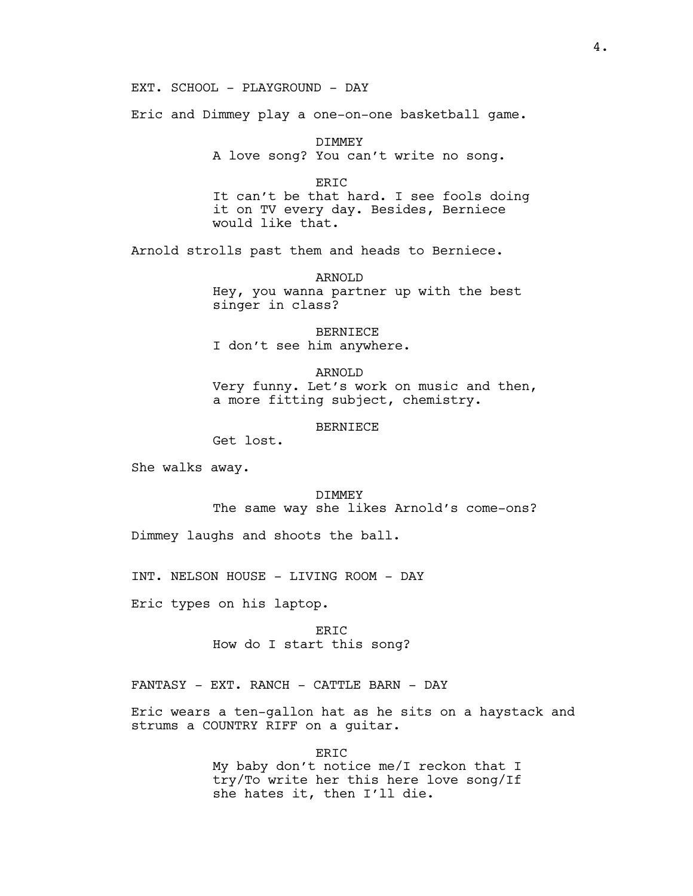EXT. SCHOOL - PLAYGROUND - DAY

Eric and Dimmey play a one-on-one basketball game.

DIMMEY A love song? You can't write no song.

ERIC It can't be that hard. I see fools doing it on TV every day. Besides, Berniece would like that.

Arnold strolls past them and heads to Berniece.

ARNOLD Hey, you wanna partner up with the best singer in class?

BERNIECE I don't see him anywhere.

ARNOLD Very funny. Let's work on music and then, a more fitting subject, chemistry.

## BERNIECE

Get lost.

She walks away.

#### DIMMEY

The same way she likes Arnold's come-ons?

Dimmey laughs and shoots the ball.

INT. NELSON HOUSE - LIVING ROOM - DAY

Eric types on his laptop.

ERIC How do I start this song?

FANTASY - EXT. RANCH - CATTLE BARN - DAY

Eric wears a ten-gallon hat as he sits on a haystack and strums a COUNTRY RIFF on a guitar.

> ERIC My baby don't notice me/I reckon that I try/To write her this here love song/If she hates it, then I'll die.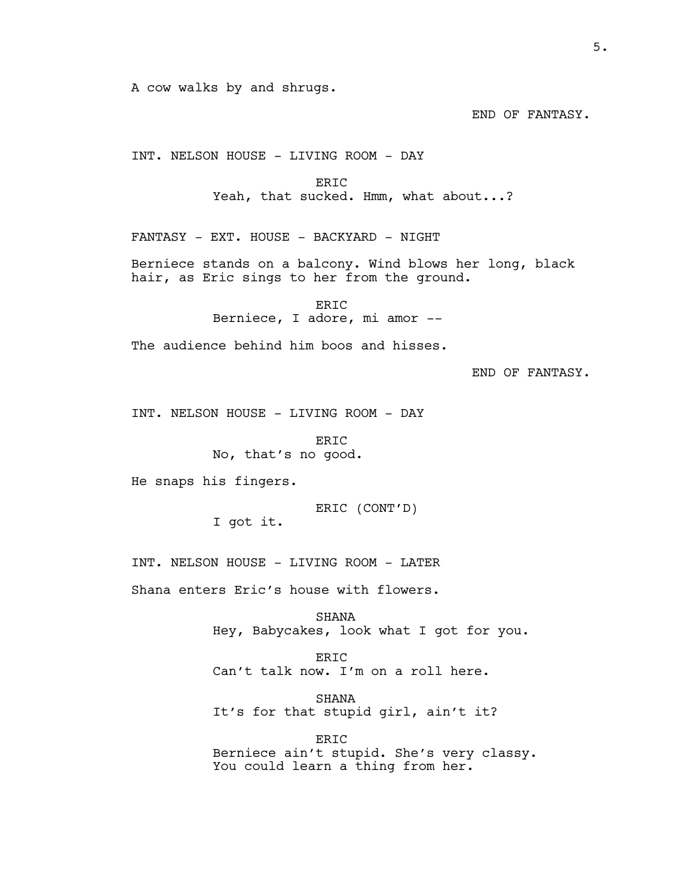A cow walks by and shrugs.

END OF FANTASY.

INT. NELSON HOUSE - LIVING ROOM - DAY

ERIC Yeah, that sucked. Hmm, what about...?

FANTASY - EXT. HOUSE - BACKYARD - NIGHT

Berniece stands on a balcony. Wind blows her long, black hair, as Eric sings to her from the ground.

> ERIC Berniece, I adore, mi amor --

The audience behind him boos and hisses.

END OF FANTASY.

INT. NELSON HOUSE - LIVING ROOM - DAY

ERIC No, that's no good.

He snaps his fingers.

ERIC (CONT'D)

I got it.

INT. NELSON HOUSE - LIVING ROOM - LATER

Shana enters Eric's house with flowers.

SHANA Hey, Babycakes, look what I got for you.

ERIC Can't talk now. I'm on a roll here.

SHANA It's for that stupid girl, ain't it?

ERIC Berniece ain't stupid. She's very classy. You could learn a thing from her.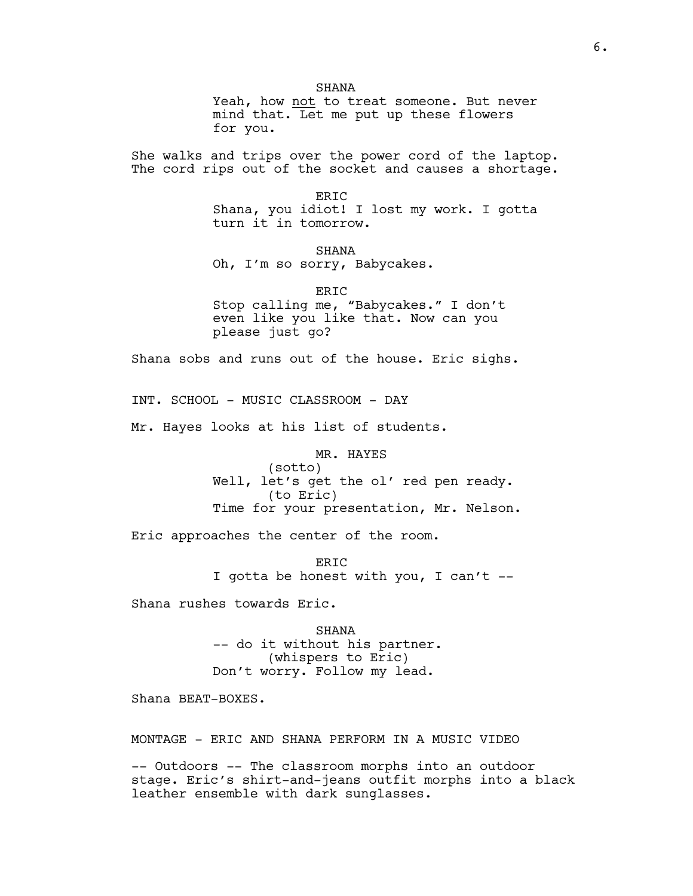**SHANA** Yeah, how not to treat someone. But never mind that. Let me put up these flowers for you.

She walks and trips over the power cord of the laptop. The cord rips out of the socket and causes a shortage.

> ERIC Shana, you idiot! I lost my work. I gotta turn it in tomorrow.

SHANA Oh, I'm so sorry, Babycakes.

ERIC Stop calling me, "Babycakes." I don't even like you like that. Now can you please just go?

Shana sobs and runs out of the house. Eric sighs.

INT. SCHOOL - MUSIC CLASSROOM - DAY

Mr. Hayes looks at his list of students.

MR. HAYES (sotto) Well, let's get the ol' red pen ready. (to Eric) Time for your presentation, Mr. Nelson.

Eric approaches the center of the room.

**ERTC** I gotta be honest with you, I can't --

Shana rushes towards Eric.

SHANA -- do it without his partner. (whispers to Eric) Don't worry. Follow my lead.

Shana BEAT-BOXES.

MONTAGE - ERIC AND SHANA PERFORM IN A MUSIC VIDEO

-- Outdoors -- The classroom morphs into an outdoor stage. Eric's shirt-and-jeans outfit morphs into a black leather ensemble with dark sunglasses.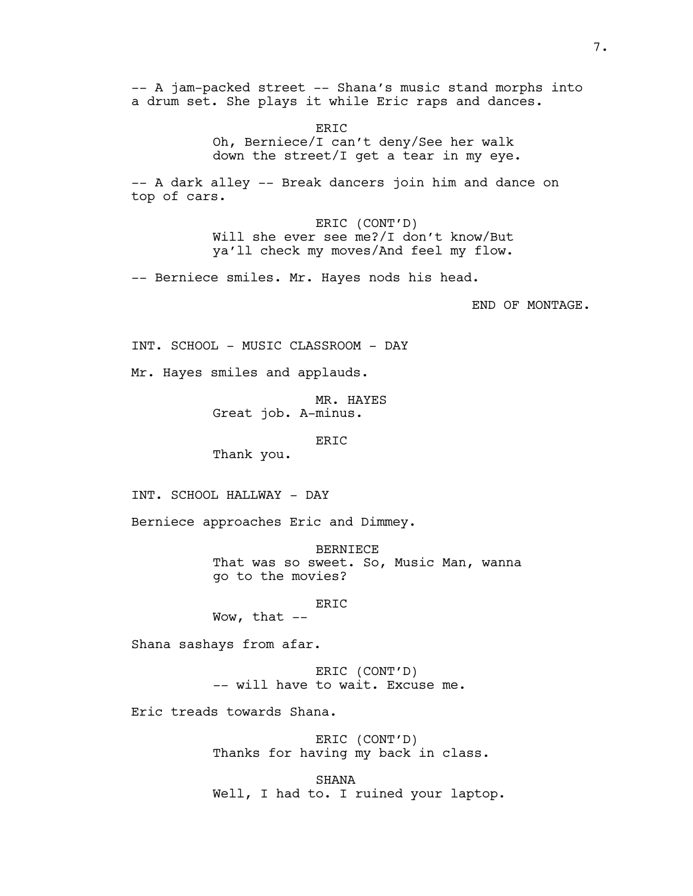-- A jam-packed street -- Shana's music stand morphs into a drum set. She plays it while Eric raps and dances.

> ERIC Oh, Berniece/I can't deny/See her walk down the street/I get a tear in my eye.

-- A dark alley -- Break dancers join him and dance on top of cars.

> ERIC (CONT'D) Will she ever see me?/I don't know/But ya'll check my moves/And feel my flow.

-- Berniece smiles. Mr. Hayes nods his head.

END OF MONTAGE.

INT. SCHOOL - MUSIC CLASSROOM - DAY

Mr. Hayes smiles and applauds.

MR. HAYES Great job. A-minus.

ERIC

Thank you.

INT. SCHOOL HALLWAY - DAY

Berniece approaches Eric and Dimmey.

BERNIECE That was so sweet. So, Music Man, wanna go to the movies?

ERIC

Wow, that  $--$ 

Shana sashays from afar.

ERIC (CONT'D) -- will have to wait. Excuse me.

Eric treads towards Shana.

ERIC (CONT'D) Thanks for having my back in class.

SHANA Well, I had to. I ruined your laptop.